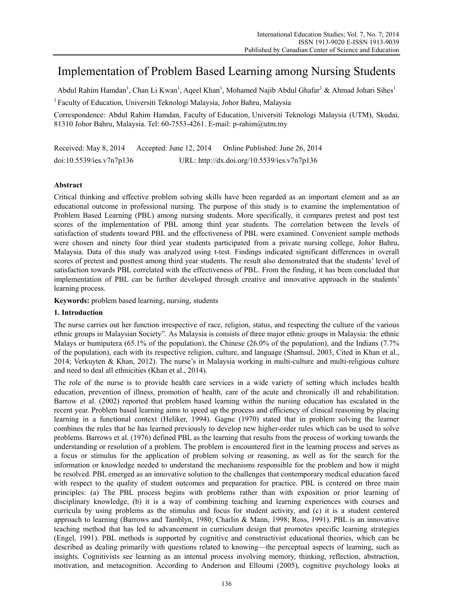# Implementation of Problem Based Learning among Nursing Students

Abdul Rahim Hamdan<sup>1</sup>, Chan Li Kwan<sup>1</sup>, Aqeel Khan<sup>1</sup>, Mohamed Najib Abdul Ghafar<sup>1</sup> & Ahmad Johari Sihes<sup>1</sup>

<sup>1</sup> Faculty of Education, Universiti Teknologi Malaysia, Johor Bahru, Malaysia

Correspondence: Abdul Rahim Hamdan, Faculty of Education, Universiti Teknologi Malaysia (UTM), Skudai, 81310 Johor Bahru, Malaysia. Tel: 60-7553-4261. E-mail: p-rahim@utm.my

Received: May 8, 2014 Accepted: June 12, 2014 Online Published: June 26, 2014 doi:10.5539/ies.v7n7p136 URL: http://dx.doi.org/10.5539/ies.v7n7p136

# **Abstract**

Critical thinking and effective problem solving skills have been regarded as an important element and as an educational outcome in professional nursing. The purpose of this study is to examine the implementation of Problem Based Learning (PBL) among nursing students. More specifically, it compares pretest and post test scores of the implementation of PBL among third year students. The correlation between the levels of satisfaction of students toward PBL and the effectiveness of PBL were examined. Convenient sample methods were chosen and ninety four third year students participated from a private nursing college, Johor Bahru, Malaysia. Data of this study was analyzed using t-test. Findings indicated significant differences in overall scores of pretest and posttest among third year students. The result also demonstrated that the students' level of satisfaction towards PBL correlated with the effectiveness of PBL. From the finding, it has been concluded that implementation of PBL can be further developed through creative and innovative approach in the students' learning process.

**Keywords:** problem based learning, nursing, students

# **1. Introduction**

The nurse carries out her function irrespective of race, religion, status, and respecting the culture of the various ethnic groups in Malaysian Society". As Malaysia is consists of three major ethnic groups in Malaysia: the ethnic Malays or bumiputera (65.1% of the population), the Chinese (26.0% of the population), and the Indians (7.7% of the population), each with its respective religion, culture, and language (Shamsul, 2003, Cited in Khan et al., 2014; Verkuyten & Khan, 2012). The nurse's in Malaysia working in multi-culture and multi-religious culture and need to deal all ethnicities (Khan et al., 2014).

The role of the nurse is to provide health care services in a wide variety of setting which includes health education, prevention of illness, promotion of health, care of the acute and chronically ill and rehabilitation. Barrow et al. (2002) reported that problem based learning within the nursing education has escalated in the recent year. Problem based learning aims to speed up the process and efficiency of clinical reasoning by placing learning in a functional context (Heliker, 1994). Gagne (1970) stated that in problem solving the learner combines the rules that he has learned previously to develop new higher-order rules which can be used to solve problems. Barrows et al. (1976) defined PBL as the learning that results from the process of working towards the understanding or resolution of a problem. The problem is encountered first in the learning process and serves as a focus or stimulus for the application of problem solving or reasoning, as well as for the search for the information or knowledge needed to understand the mechanisms responsible for the problem and how it might be resolved. PBL emerged as an innovative solution to the challenges that contemporary medical education faced with respect to the quality of student outcomes and preparation for practice. PBL is centered on three main principles: (a) The PBL process begins with problems rather than with exposition or prior learning of disciplinary knowledge, (b) it is a way of combining teaching and learning experiences with courses and curricula by using problems as the stimulus and focus for student activity, and (c) it is a student centered approach to learning (Barrows and Tamblyn, 1980; Charlin & Mann, 1998; Ross, 1991). PBL is an innovative teaching method that has led to advancement in curriculum design that promotes specific learning strategies (Engel, 1991). PBL methods is supported by cognitive and constructivist educational theories, which can be described as dealing primarily with questions related to knowing—the perceptual aspects of learning, such as insights. Cognitivists see learning as an internal process involving memory, thinking, reflection, abstraction, motivation, and metacognition. According to Anderson and Elloumi (2005), cognitive psychology looks at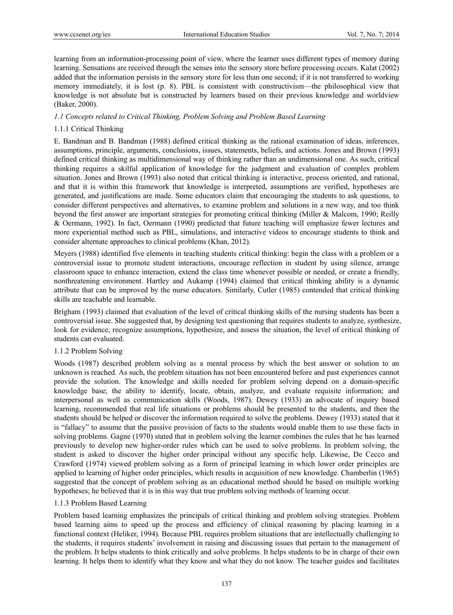learning from an information-processing point of view, where the learner uses different types of memory during learning. Sensations are received through the senses into the sensory store before processing occurs. Kalat (2002) added that the information persists in the sensory store for less than one second; if it is not transferred to working memory immediately, it is lost (p. 8). PBL is consistent with constructivism—the philosophical view that knowledge is not absolute but is constructed by learners based on their previous knowledge and worldview (Baker, 2000).

## *1.1 Concepts related to Critical Thinking, Problem Solving and Problem Based Learning*

# 1.1.1 Critical Thinking

E. Bandman and B. Bandman (1988) defined critical thinking as the rational examination of ideas, inferences, assumptions, principle, arguments, conclusions, issues, statements, beliefs, and actions. Jones and Brown (1993) defined critical thinking as multidimensional way of thinking rather than an undimensional one. As such, critical thinking requires a skilful application of knowledge for the judgment and evaluation of complex problem situation. Jones and Brown (1993) also noted that critical thinking is interactive, process oriented, and rational, and that it is within this framework that knowledge is interpreted, assumptions are verified, hypotheses are generated, and justifications are made. Some educators claim that encouraging the students to ask questions, to consider different perspectives and alternatives, to examine problem and solutions in a new way, and too think beyond the first answer are important strategies for promoting critical thinking (Miller & Malcom, 1990; Reilly & Oermann, 1992). In fact, Oermann (1990) predicted that future teaching will emphasize fewer lectures and more experiential method such as PBL, simulations, and interactive videos to encourage students to think and consider alternate approaches to clinical problems (Khan, 2012).

Meyers (1988) identified five elements in teaching students critical thinking: begin the class with a problem or a controversial issue to promote student interactions, encourage reflection in student by using silence, arrange classroom space to enhance interaction, extend the class time whenever possible or needed, or create a friendly, nonthreatening environment. Hartley and Aukamp (1994) claimed that critical thinking ability is a dynamic attribute that can be improved by the nurse educators. Similarly, Cutler (1985) contended that critical thinking skills are teachable and learnable.

Brigham (1993) claimed that evaluation of the level of critical thinking skills of the nursing students has been a controversial issue. She suggested that, by designing test questioning that requires students to analyze, synthesize, look for evidence, recognize assumptions, hypothesize, and assess the situation, the level of critical thinking of students can evaluated.

#### 1.1.2 Problem Solving

Woods (1987) described problem solving as a mental process by which the best answer or solution to an unknown is reached. As such, the problem situation has not been encountered before and past experiences cannot provide the solution. The knowledge and skills needed for problem solving depend on a domain-specific knowledge base; the ability to identify, locate, obtain, analyze, and evaluate requisite information; and interpersonal as well as communication skills (Woods, 1987). Dewey (1933) an advocate of inquiry based learning, recommended that real life situations or problems should be presented to the students, and then the students should be helped or discover the information required to solve the problems. Dewey (1933) stated that it is "fallacy" to assume that the passive provision of facts to the students would enable them to use these facts in solving problems. Gagne (1970) stated that in problem solving the learner combines the rules that he has learned previously to develop new higher-order rules which can be used to solve problems. In problem solving, the student is asked to discover the higher order principal without any specific help. Likewise, De Cecco and Crawford (1974) viewed problem solving as a form of principal learning in which lower order principles are applied to learning of higher order principles, which results in acquisition of new knowledge. Chamberlin (1965) suggested that the concept of problem solving as an educational method should be based on multiple working hypotheses; he believed that it is in this way that true problem solving methods of learning occur.

#### 1.1.3 Problem Based Learning

Problem based learning emphasizes the principals of critical thinking and problem solving strategies. Problem based learning aims to speed up the process and efficiency of clinical reasoning by placing learning in a functional context (Heliker, 1994). Because PBL requires problem situations that are intellectually challenging to the students, it requires students' involvement in raising and discussing issues that pertain to the management of the problem. It helps students to think critically and solve problems. It helps students to be in charge of their own learning. It helps them to identify what they know and what they do not know. The teacher guides and facilitates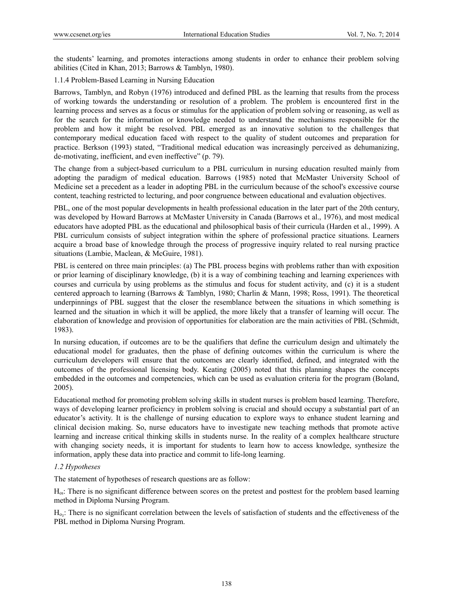the students' learning, and promotes interactions among students in order to enhance their problem solving abilities (Cited in Khan, 2013; Barrows & Tamblyn, 1980).

1.1.4 Problem-Based Learning in Nursing Education

Barrows, Tamblyn, and Robyn (1976) introduced and defined PBL as the learning that results from the process of working towards the understanding or resolution of a problem. The problem is encountered first in the learning process and serves as a focus or stimulus for the application of problem solving or reasoning, as well as for the search for the information or knowledge needed to understand the mechanisms responsible for the problem and how it might be resolved. PBL emerged as an innovative solution to the challenges that contemporary medical education faced with respect to the quality of student outcomes and preparation for practice. Berkson (1993) stated, "Traditional medical education was increasingly perceived as dehumanizing, de-motivating, inefficient, and even ineffective" (p. 79).

The change from a subject-based curriculum to a PBL curriculum in nursing education resulted mainly from adopting the paradigm of medical education. Barrows (1985) noted that McMaster University School of Medicine set a precedent as a leader in adopting PBL in the curriculum because of the school's excessive course content, teaching restricted to lecturing, and poor congruence between educational and evaluation objectives.

PBL, one of the most popular developments in health professional education in the later part of the 20th century, was developed by Howard Barrows at McMaster University in Canada (Barrows et al., 1976), and most medical educators have adopted PBL as the educational and philosophical basis of their curricula (Harden et al., 1999). A PBL curriculum consists of subject integration within the sphere of professional practice situations. Learners acquire a broad base of knowledge through the process of progressive inquiry related to real nursing practice situations (Lambie, Maclean, & McGuire, 1981).

PBL is centered on three main principles: (a) The PBL process begins with problems rather than with exposition or prior learning of disciplinary knowledge, (b) it is a way of combining teaching and learning experiences with courses and curricula by using problems as the stimulus and focus for student activity, and (c) it is a student centered approach to learning (Barrows & Tamblyn, 1980; Charlin & Mann, 1998; Ross, 1991). The theoretical underpinnings of PBL suggest that the closer the resemblance between the situations in which something is learned and the situation in which it will be applied, the more likely that a transfer of learning will occur. The elaboration of knowledge and provision of opportunities for elaboration are the main activities of PBL (Schmidt, 1983).

In nursing education, if outcomes are to be the qualifiers that define the curriculum design and ultimately the educational model for graduates, then the phase of defining outcomes within the curriculum is where the curriculum developers will ensure that the outcomes are clearly identified, defined, and integrated with the outcomes of the professional licensing body. Keating (2005) noted that this planning shapes the concepts embedded in the outcomes and competencies, which can be used as evaluation criteria for the program (Boland, 2005).

Educational method for promoting problem solving skills in student nurses is problem based learning. Therefore, ways of developing learner proficiency in problem solving is crucial and should occupy a substantial part of an educator's activity. It is the challenge of nursing education to explore ways to enhance student learning and clinical decision making. So, nurse educators have to investigate new teaching methods that promote active learning and increase critical thinking skills in students nurse. In the reality of a complex healthcare structure with changing society needs, it is important for students to learn how to access knowledge, synthesize the information, apply these data into practice and commit to life-long learning.

# *1.2 Hypotheses*

The statement of hypotheses of research questions are as follow:

Hoı: There is no significant difference between scores on the pretest and posttest for the problem based learning method in Diploma Nursing Program.

 $H<sub>oz</sub>$ : There is no significant correlation between the levels of satisfaction of students and the effectiveness of the PBL method in Diploma Nursing Program.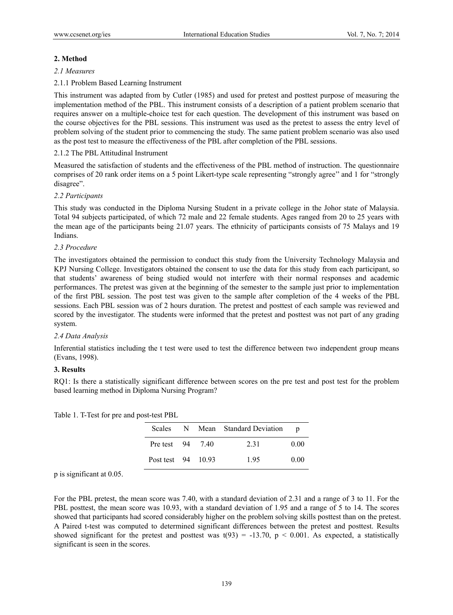# **2. Method**

#### *2.1 Measures*

# 2.1.1 Problem Based Learning Instrument

This instrument was adapted from by Cutler (1985) and used for pretest and posttest purpose of measuring the implementation method of the PBL. This instrument consists of a description of a patient problem scenario that requires answer on a multiple-choice test for each question. The development of this instrument was based on the course objectives for the PBL sessions. This instrument was used as the pretest to assess the entry level of problem solving of the student prior to commencing the study. The same patient problem scenario was also used as the post test to measure the effectiveness of the PBL after completion of the PBL sessions.

## 2.1.2 The PBL Attitudinal Instrument

Measured the satisfaction of students and the effectiveness of the PBL method of instruction. The questionnaire comprises of 20 rank order items on a 5 point Likert-type scale representing "strongly agree'' and 1 for "strongly disagree".

## *2.2 Participants*

This study was conducted in the Diploma Nursing Student in a private college in the Johor state of Malaysia. Total 94 subjects participated, of which 72 male and 22 female students. Ages ranged from 20 to 25 years with the mean age of the participants being 21.07 years. The ethnicity of participants consists of 75 Malays and 19 Indians.

#### *2.3 Procedure*

The investigators obtained the permission to conduct this study from the University Technology Malaysia and KPJ Nursing College. Investigators obtained the consent to use the data for this study from each participant, so that students' awareness of being studied would not interfere with their normal responses and academic performances. The pretest was given at the beginning of the semester to the sample just prior to implementation of the first PBL session. The post test was given to the sample after completion of the 4 weeks of the PBL sessions. Each PBL session was of 2 hours duration. The pretest and posttest of each sample was reviewed and scored by the investigator. The students were informed that the pretest and posttest was not part of any grading system.

# *2.4 Data Analysis*

Inferential statistics including the t test were used to test the difference between two independent group means (Evans, 1998).

#### **3. Results**

RO1: Is there a statistically significant difference between scores on the pre test and post test for the problem based learning method in Diploma Nursing Program?

|  |  |  | Table 1. T-Test for pre and post-test PBL |
|--|--|--|-------------------------------------------|
|--|--|--|-------------------------------------------|

| <b>Scales</b>      |  | N Mean Standard Deviation | n    |
|--------------------|--|---------------------------|------|
| Pre test 94 7.40   |  | 2.31                      | 0.00 |
| Post test 94 10.93 |  | 195                       | 0.00 |

p is significant at 0.05.

For the PBL pretest, the mean score was 7.40, with a standard deviation of 2.31 and a range of 3 to 11. For the PBL posttest, the mean score was 10.93, with a standard deviation of 1.95 and a range of 5 to 14. The scores showed that participants had scored considerably higher on the problem solving skills posttest than on the pretest. A Paired t-test was computed to determined significant differences between the pretest and posttest. Results showed significant for the pretest and posttest was  $t(93) = -13.70$ ,  $p < 0.001$ . As expected, a statistically significant is seen in the scores.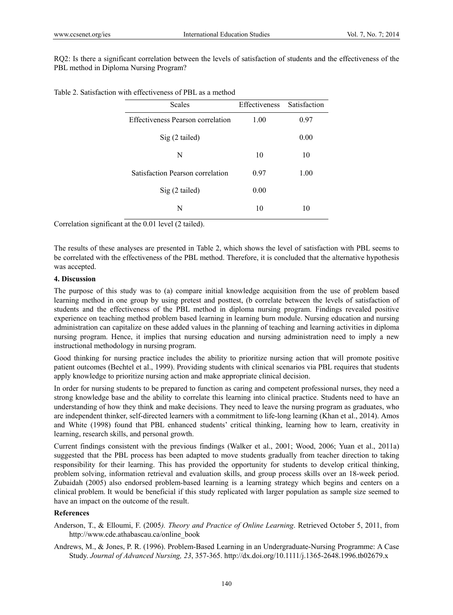RQ2: Is there a significant correlation between the levels of satisfaction of students and the effectiveness of the PBL method in Diploma Nursing Program?

Table 2. Satisfaction with effectiveness of PBL as a method

| <b>Scales</b>                            | Effectiveness | Satisfaction |  |
|------------------------------------------|---------------|--------------|--|
| <b>Effectiveness Pearson correlation</b> | 1.00          | 0.97         |  |
| $Sig(2-tailed)$                          |               | 0.00         |  |
| N                                        | 10            | 10           |  |
| Satisfaction Pearson correlation         | 0.97          | 1.00         |  |
| Sig (2 tailed)                           | 0.00          |              |  |
| N                                        | 10            | 10           |  |

Correlation significant at the 0.01 level (2 tailed).

The results of these analyses are presented in Table 2, which shows the level of satisfaction with PBL seems to be correlated with the effectiveness of the PBL method. Therefore, it is concluded that the alternative hypothesis was accepted.

#### **4. Discussion**

The purpose of this study was to (a) compare initial knowledge acquisition from the use of problem based learning method in one group by using pretest and posttest, (b correlate between the levels of satisfaction of students and the effectiveness of the PBL method in diploma nursing program. Findings revealed positive experience on teaching method problem based learning in learning burn module. Nursing education and nursing administration can capitalize on these added values in the planning of teaching and learning activities in diploma nursing program. Hence, it implies that nursing education and nursing administration need to imply a new instructional methodology in nursing program.

Good thinking for nursing practice includes the ability to prioritize nursing action that will promote positive patient outcomes (Bechtel et al., 1999). Providing students with clinical scenarios via PBL requires that students apply knowledge to prioritize nursing action and make appropriate clinical decision.

In order for nursing students to be prepared to function as caring and competent professional nurses, they need a strong knowledge base and the ability to correlate this learning into clinical practice. Students need to have an understanding of how they think and make decisions. They need to leave the nursing program as graduates, who are independent thinker, self-directed learners with a commitment to life-long learning (Khan et al., 2014). Amos and White (1998) found that PBL enhanced students' critical thinking, learning how to learn, creativity in learning, research skills, and personal growth.

Current findings consistent with the previous findings (Walker et al., 2001; Wood, 2006; Yuan et al., 2011a) suggested that the PBL process has been adapted to move students gradually from teacher direction to taking responsibility for their learning. This has provided the opportunity for students to develop critical thinking, problem solving, information retrieval and evaluation skills, and group process skills over an 18-week period. Zubaidah (2005) also endorsed problem-based learning is a learning strategy which begins and centers on a clinical problem. It would be beneficial if this study replicated with larger population as sample size seemed to have an impact on the outcome of the result.

# **References**

- Anderson, T., & Elloumi, F. (2005*). Theory and Practice of Online Learning*. Retrieved October 5, 2011, from http://www.cde.athabascau.ca/online\_book
- Andrews, M., & Jones, P. R. (1996). Problem-Based Learning in an Undergraduate-Nursing Programme: A Case Study. *Journal of Advanced Nursing, 23*, 357-365. http://dx.doi.org/10.1111/j.1365-2648.1996.tb02679.x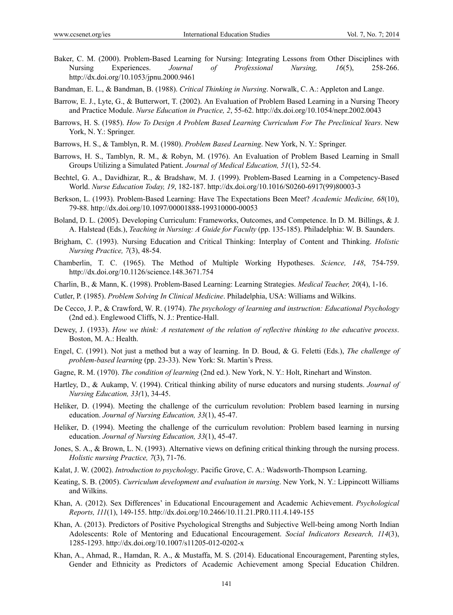- Baker, C. M. (2000). Problem-Based Learning for Nursing: Integrating Lessons from Other Disciplines with Nursing Experiences. *Journal of Professional Nursing, 16*(5), 258-266. http://dx.doi.org/10.1053/jpnu.2000.9461
- Bandman, E. L., & Bandman, B. (1988). *Critical Thinking in Nursing*. Norwalk, C. A.: Appleton and Lange.
- Barrow, E. J., Lyte, G., & Butterwort, T. (2002). An Evaluation of Problem Based Learning in a Nursing Theory and Practice Module. *Nurse Education in Practice, 2*, 55-62. http://dx.doi.org/10.1054/nepr.2002.0043
- Barrows, H. S. (1985). *How To Design A Problem Based Learning Curriculum For The Preclinical Years*. New York, N. Y.: Springer.
- Barrows, H. S., & Tamblyn, R. M. (1980). *Problem Based Learning*. New York, N. Y.: Springer.
- Barrows, H. S., Tamblyn, R. M., & Robyn, M. (1976). An Evaluation of Problem Based Learning in Small Groups Utilizing a Simulated Patient. *Journal of Medical Education, 51*(1), 52-54.
- Bechtel, G. A., Davidhizar, R., & Bradshaw, M. J. (1999). Problem-Based Learning in a Competency-Based World. *Nurse Education Today, 19*, 182-187. http://dx.doi.org/10.1016/S0260-6917(99)80003-3
- Berkson, L. (1993). Problem-Based Learning: Have The Expectations Been Meet? *Academic Medicine, 68*(10), 79-88. http://dx.doi.org/10.1097/00001888-199310000-00053
- Boland, D. L. (2005). Developing Curriculum: Frameworks, Outcomes, and Competence. In D. M. Billings, & J. A. Halstead (Eds.), *Teaching in Nursing: A Guide for Faculty* (pp. 135-185). Philadelphia: W. B. Saunders.
- Brigham, C. (1993). Nursing Education and Critical Thinking: Interplay of Content and Thinking. *Holistic Nursing Practice, 7*(3), 48-54.
- Chamberlin, T. C. (1965). The Method of Multiple Working Hypotheses. *Science, 148*, 754-759. http://dx.doi.org/10.1126/science.148.3671.754
- Charlin, B., & Mann, K. (1998). Problem-Based Learning: Learning Strategies. *Medical Teacher, 20*(4), 1-16.
- Cutler, P. (1985). *Problem Solving In Clinical Medicine*. Philadelphia, USA: Williams and Wilkins.
- De Cecco, J. P., & Crawford, W. R. (1974). *The psychology of learning and instruction: Educational Psychology* (2nd ed.). Englewood Cliffs, N. J.: Prentice-Hall.
- Dewey, J. (1933). *How we think: A restatement of the relation of reflective thinking to the educative process*. Boston, M. A.: Health.
- Engel, C. (1991). Not just a method but a way of learning. In D. Boud, & G. Feletti (Eds.), *The challenge of problem-based learning* (pp. 23-33). New York: St. Martin's Press.
- Gagne, R. M. (1970). *The condition of learning* (2nd ed.). New York, N. Y.: Holt, Rinehart and Winston.
- Hartley, D., & Aukamp, V. (1994). Critical thinking ability of nurse educators and nursing students. *Journal of Nursing Education, 33(*1), 34-45.
- Heliker, D. (1994). Meeting the challenge of the curriculum revolution: Problem based learning in nursing education. *Journal of Nursing Education, 33*(1), 45-47.
- Heliker, D. (1994). Meeting the challenge of the curriculum revolution: Problem based learning in nursing education. *Journal of Nursing Education, 33*(1), 45-47.
- Jones, S. A., & Brown, L. N. (1993). Alternative views on defining critical thinking through the nursing process. *Holistic nursing Practice, 7*(3), 71-76.
- Kalat, J. W. (2002). *Introduction to psychology*. Pacific Grove, C. A.: Wadsworth-Thompson Learning.
- Keating, S. B. (2005). *Curriculum development and evaluation in nursing*. New York, N. Y.: Lippincott Williams and Wilkins.
- Khan, A. (2012). Sex Differences' in Educational Encouragement and Academic Achievement. *Psychological Reports, 111*(1), 149-155. http://dx.doi.org/10.2466/10.11.21.PR0.111.4.149-155
- Khan, A. (2013). Predictors of Positive Psychological Strengths and Subjective Well-being among North Indian Adolescents: Role of Mentoring and Educational Encouragement. *Social Indicators Research, 114*(3), 1285-1293. http://dx.doi.org/10.1007/s11205-012-0202-x
- Khan, A., Ahmad, R., Hamdan, R. A., & Mustaffa, M. S. (2014). Educational Encouragement, Parenting styles, Gender and Ethnicity as Predictors of Academic Achievement among Special Education Children.